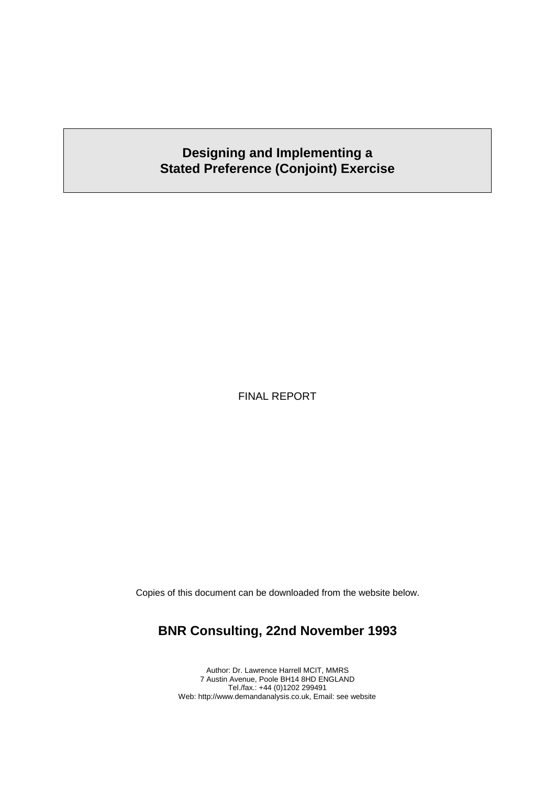# **Designing and Implementing a Stated Preference (Conjoint) Exercise**

FINAL REPORT

Copies of this document can be downloaded from the website below.

# **BNR Consulting, 22nd November 1993**

Author: Dr. Lawrence Harrell MCIT, MMRS 7 Austin Avenue, Poole BH14 8HD ENGLAND Tel./fax.: +44 (0)1202 299491 Web: http://www.demandanalysis.co.uk, Email: see website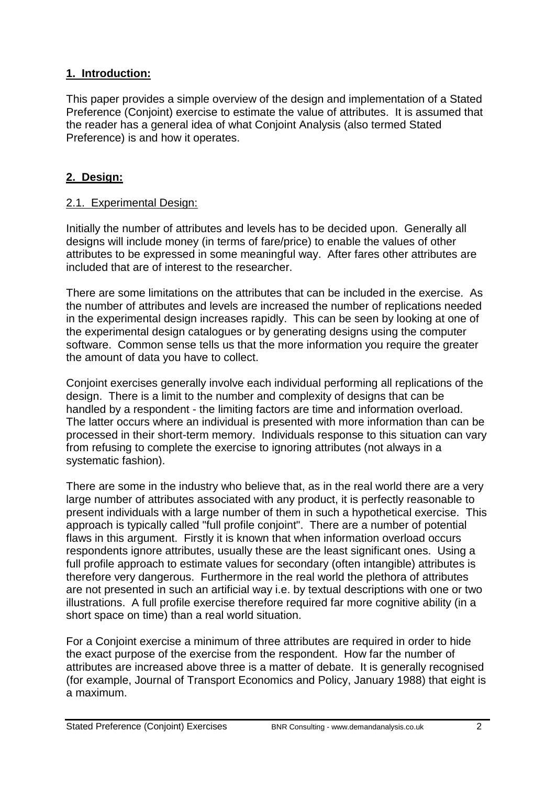## **1. Introduction:**

This paper provides a simple overview of the design and implementation of a Stated Preference (Conjoint) exercise to estimate the value of attributes. It is assumed that the reader has a general idea of what Conjoint Analysis (also termed Stated Preference) is and how it operates.

## **2. Design:**

### 2.1. Experimental Design:

Initially the number of attributes and levels has to be decided upon. Generally all designs will include money (in terms of fare/price) to enable the values of other attributes to be expressed in some meaningful way. After fares other attributes are included that are of interest to the researcher.

There are some limitations on the attributes that can be included in the exercise. As the number of attributes and levels are increased the number of replications needed in the experimental design increases rapidly. This can be seen by looking at one of the experimental design catalogues or by generating designs using the computer software. Common sense tells us that the more information you require the greater the amount of data you have to collect.

Conjoint exercises generally involve each individual performing all replications of the design. There is a limit to the number and complexity of designs that can be handled by a respondent - the limiting factors are time and information overload. The latter occurs where an individual is presented with more information than can be processed in their short-term memory. Individuals response to this situation can vary from refusing to complete the exercise to ignoring attributes (not always in a systematic fashion).

There are some in the industry who believe that, as in the real world there are a very large number of attributes associated with any product, it is perfectly reasonable to present individuals with a large number of them in such a hypothetical exercise. This approach is typically called "full profile conjoint". There are a number of potential flaws in this argument. Firstly it is known that when information overload occurs respondents ignore attributes, usually these are the least significant ones. Using a full profile approach to estimate values for secondary (often intangible) attributes is therefore very dangerous. Furthermore in the real world the plethora of attributes are not presented in such an artificial way i.e. by textual descriptions with one or two illustrations. A full profile exercise therefore required far more cognitive ability (in a short space on time) than a real world situation.

For a Conjoint exercise a minimum of three attributes are required in order to hide the exact purpose of the exercise from the respondent. How far the number of attributes are increased above three is a matter of debate. It is generally recognised (for example, Journal of Transport Economics and Policy, January 1988) that eight is a maximum.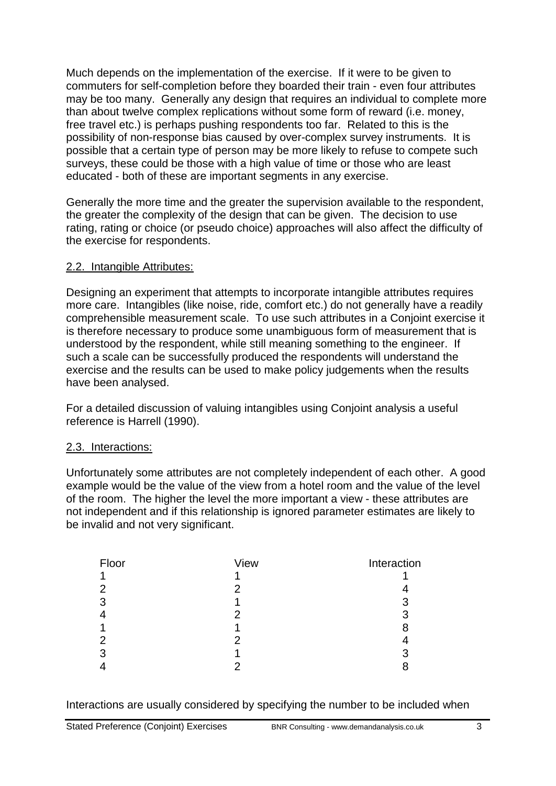Much depends on the implementation of the exercise. If it were to be given to commuters for self-completion before they boarded their train - even four attributes may be too many. Generally any design that requires an individual to complete more than about twelve complex replications without some form of reward (i.e. money, free travel etc.) is perhaps pushing respondents too far. Related to this is the possibility of non-response bias caused by over-complex survey instruments. It is possible that a certain type of person may be more likely to refuse to compete such surveys, these could be those with a high value of time or those who are least educated - both of these are important segments in any exercise.

Generally the more time and the greater the supervision available to the respondent, the greater the complexity of the design that can be given. The decision to use rating, rating or choice (or pseudo choice) approaches will also affect the difficulty of the exercise for respondents.

### 2.2. Intangible Attributes:

Designing an experiment that attempts to incorporate intangible attributes requires more care. Intangibles (like noise, ride, comfort etc.) do not generally have a readily comprehensible measurement scale. To use such attributes in a Conjoint exercise it is therefore necessary to produce some unambiguous form of measurement that is understood by the respondent, while still meaning something to the engineer. If such a scale can be successfully produced the respondents will understand the exercise and the results can be used to make policy judgements when the results have been analysed.

For a detailed discussion of valuing intangibles using Conjoint analysis a useful reference is Harrell (1990).

### 2.3. Interactions:

Unfortunately some attributes are not completely independent of each other. A good example would be the value of the view from a hotel room and the value of the level of the room. The higher the level the more important a view - these attributes are not independent and if this relationship is ignored parameter estimates are likely to be invalid and not very significant.

| Floor | View | Interaction |
|-------|------|-------------|
|       |      |             |
| 2     | 2    |             |
| 3     |      | 3           |
|       | 2    | 3           |
|       |      | 8           |
| 2     | 2    |             |
| 3     |      | 3           |
|       |      |             |

### Interactions are usually considered by specifying the number to be included when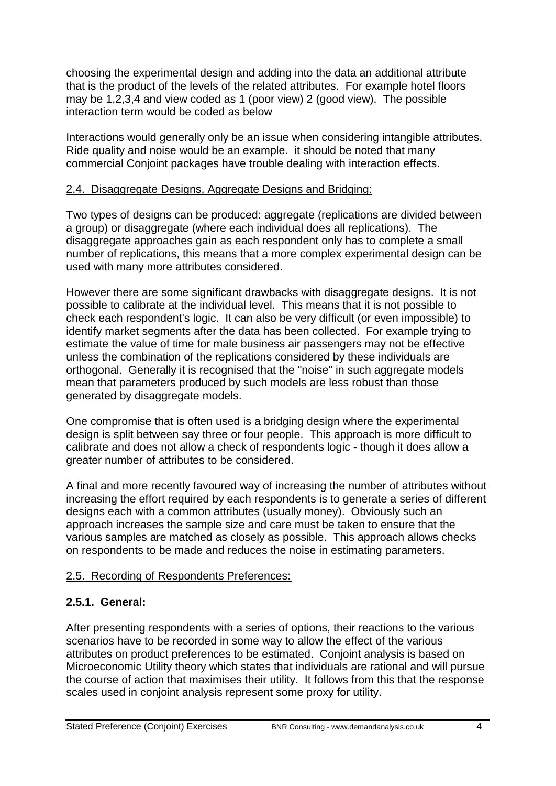choosing the experimental design and adding into the data an additional attribute that is the product of the levels of the related attributes. For example hotel floors may be 1,2,3,4 and view coded as 1 (poor view) 2 (good view). The possible interaction term would be coded as below

Interactions would generally only be an issue when considering intangible attributes. Ride quality and noise would be an example. it should be noted that many commercial Conjoint packages have trouble dealing with interaction effects.

### 2.4. Disaggregate Designs, Aggregate Designs and Bridging:

Two types of designs can be produced: aggregate (replications are divided between a group) or disaggregate (where each individual does all replications). The disaggregate approaches gain as each respondent only has to complete a small number of replications, this means that a more complex experimental design can be used with many more attributes considered.

However there are some significant drawbacks with disaggregate designs. It is not possible to calibrate at the individual level. This means that it is not possible to check each respondent's logic. It can also be very difficult (or even impossible) to identify market segments after the data has been collected. For example trying to estimate the value of time for male business air passengers may not be effective unless the combination of the replications considered by these individuals are orthogonal. Generally it is recognised that the "noise" in such aggregate models mean that parameters produced by such models are less robust than those generated by disaggregate models.

One compromise that is often used is a bridging design where the experimental design is split between say three or four people. This approach is more difficult to calibrate and does not allow a check of respondents logic - though it does allow a greater number of attributes to be considered.

A final and more recently favoured way of increasing the number of attributes without increasing the effort required by each respondents is to generate a series of different designs each with a common attributes (usually money). Obviously such an approach increases the sample size and care must be taken to ensure that the various samples are matched as closely as possible. This approach allows checks on respondents to be made and reduces the noise in estimating parameters.

### 2.5. Recording of Respondents Preferences:

## **2.5.1. General:**

After presenting respondents with a series of options, their reactions to the various scenarios have to be recorded in some way to allow the effect of the various attributes on product preferences to be estimated. Conjoint analysis is based on Microeconomic Utility theory which states that individuals are rational and will pursue the course of action that maximises their utility. It follows from this that the response scales used in conjoint analysis represent some proxy for utility.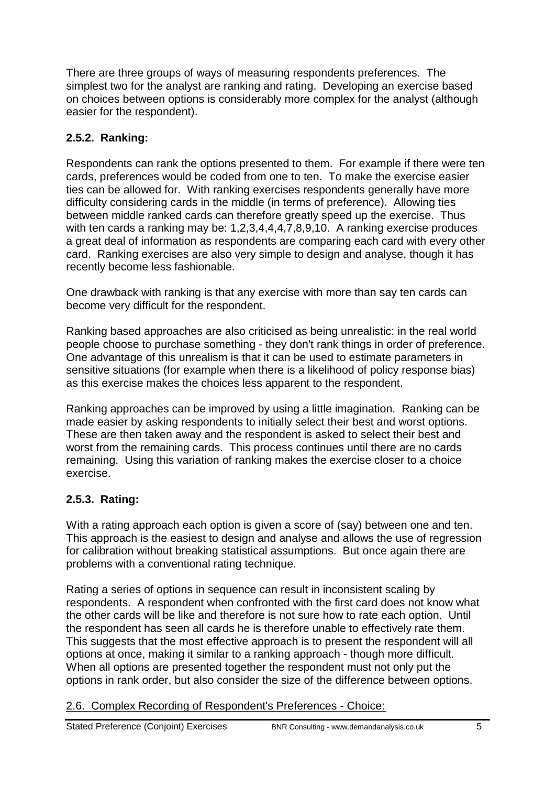There are three groups of ways of measuring respondents preferences. The simplest two for the analyst are ranking and rating. Developing an exercise based on choices between options is considerably more complex for the analyst (although easier for the respondent).

# **2.5.2. Ranking:**

Respondents can rank the options presented to them. For example if there were ten cards, preferences would be coded from one to ten. To make the exercise easier ties can be allowed for. With ranking exercises respondents generally have more difficulty considering cards in the middle (in terms of preference). Allowing ties between middle ranked cards can therefore greatly speed up the exercise. Thus with ten cards a ranking may be: 1,2,3,4,4,4,7,8,9,10. A ranking exercise produces a great deal of information as respondents are comparing each card with every other card. Ranking exercises are also very simple to design and analyse, though it has recently become less fashionable.

One drawback with ranking is that any exercise with more than say ten cards can become very difficult for the respondent.

Ranking based approaches are also criticised as being unrealistic: in the real world people choose to purchase something - they don't rank things in order of preference. One advantage of this unrealism is that it can be used to estimate parameters in sensitive situations (for example when there is a likelihood of policy response bias) as this exercise makes the choices less apparent to the respondent.

Ranking approaches can be improved by using a little imagination. Ranking can be made easier by asking respondents to initially select their best and worst options. These are then taken away and the respondent is asked to select their best and worst from the remaining cards. This process continues until there are no cards remaining. Using this variation of ranking makes the exercise closer to a choice exercise.

# **2.5.3. Rating:**

With a rating approach each option is given a score of (say) between one and ten. This approach is the easiest to design and analyse and allows the use of regression for calibration without breaking statistical assumptions. But once again there are problems with a conventional rating technique.

Rating a series of options in sequence can result in inconsistent scaling by respondents. A respondent when confronted with the first card does not know what the other cards will be like and therefore is not sure how to rate each option. Until the respondent has seen all cards he is therefore unable to effectively rate them. This suggests that the most effective approach is to present the respondent will all options at once, making it similar to a ranking approach - though more difficult. When all options are presented together the respondent must not only put the options in rank order, but also consider the size of the difference between options.

# 2.6. Complex Recording of Respondent's Preferences - Choice: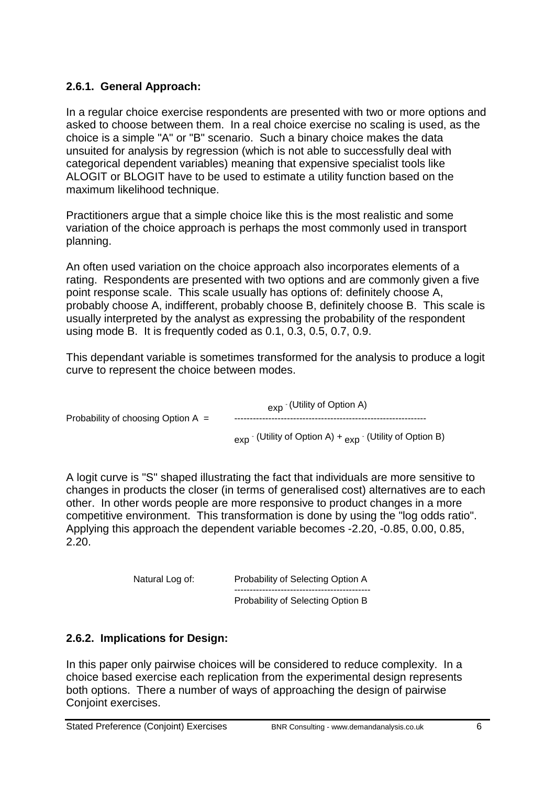## **2.6.1. General Approach:**

In a regular choice exercise respondents are presented with two or more options and asked to choose between them. In a real choice exercise no scaling is used, as the choice is a simple "A" or "B" scenario. Such a binary choice makes the data unsuited for analysis by regression (which is not able to successfully deal with categorical dependent variables) meaning that expensive specialist tools like ALOGIT or BLOGIT have to be used to estimate a utility function based on the maximum likelihood technique.

Practitioners argue that a simple choice like this is the most realistic and some variation of the choice approach is perhaps the most commonly used in transport planning.

An often used variation on the choice approach also incorporates elements of a rating. Respondents are presented with two options and are commonly given a five point response scale. This scale usually has options of: definitely choose A, probably choose A, indifferent, probably choose B, definitely choose B. This scale is usually interpreted by the analyst as expressing the probability of the respondent using mode B. It is frequently coded as 0.1, 0.3, 0.5, 0.7, 0.9.

This dependant variable is sometimes transformed for the analysis to produce a logit curve to represent the choice between modes.

exp - (Utility of Option A) Probability of choosing Option  $A =$ 

 $_{\rm exp}$  (Utility of Option A) +  $_{\rm exp}$  (Utility of Option B)

A logit curve is "S" shaped illustrating the fact that individuals are more sensitive to changes in products the closer (in terms of generalised cost) alternatives are to each other. In other words people are more responsive to product changes in a more competitive environment. This transformation is done by using the "log odds ratio". Applying this approach the dependent variable becomes -2.20, -0.85, 0.00, 0.85, 2.20.

| Natural Log of: | Probability of Selecting Option A |
|-----------------|-----------------------------------|
|                 | Probability of Selecting Option B |

## **2.6.2. Implications for Design:**

In this paper only pairwise choices will be considered to reduce complexity. In a choice based exercise each replication from the experimental design represents both options. There a number of ways of approaching the design of pairwise Conjoint exercises.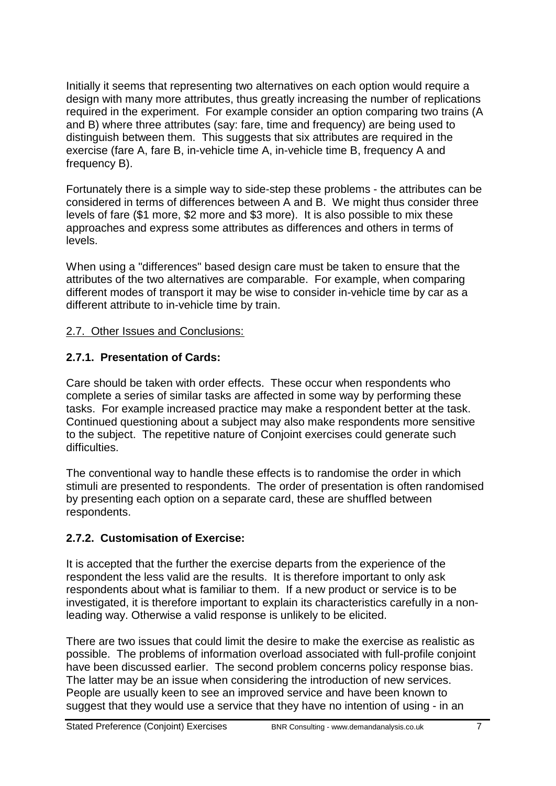Initially it seems that representing two alternatives on each option would require a design with many more attributes, thus greatly increasing the number of replications required in the experiment. For example consider an option comparing two trains (A and B) where three attributes (say: fare, time and frequency) are being used to distinguish between them. This suggests that six attributes are required in the exercise (fare A, fare B, in-vehicle time A, in-vehicle time B, frequency A and frequency B).

Fortunately there is a simple way to side-step these problems - the attributes can be considered in terms of differences between A and B. We might thus consider three levels of fare (\$1 more, \$2 more and \$3 more). It is also possible to mix these approaches and express some attributes as differences and others in terms of levels.

When using a "differences" based design care must be taken to ensure that the attributes of the two alternatives are comparable. For example, when comparing different modes of transport it may be wise to consider in-vehicle time by car as a different attribute to in-vehicle time by train.

## 2.7. Other Issues and Conclusions:

## **2.7.1. Presentation of Cards:**

Care should be taken with order effects. These occur when respondents who complete a series of similar tasks are affected in some way by performing these tasks. For example increased practice may make a respondent better at the task. Continued questioning about a subject may also make respondents more sensitive to the subject. The repetitive nature of Conjoint exercises could generate such difficulties.

The conventional way to handle these effects is to randomise the order in which stimuli are presented to respondents. The order of presentation is often randomised by presenting each option on a separate card, these are shuffled between respondents.

## **2.7.2. Customisation of Exercise:**

It is accepted that the further the exercise departs from the experience of the respondent the less valid are the results. It is therefore important to only ask respondents about what is familiar to them. If a new product or service is to be investigated, it is therefore important to explain its characteristics carefully in a nonleading way. Otherwise a valid response is unlikely to be elicited.

There are two issues that could limit the desire to make the exercise as realistic as possible. The problems of information overload associated with full-profile conjoint have been discussed earlier. The second problem concerns policy response bias. The latter may be an issue when considering the introduction of new services. People are usually keen to see an improved service and have been known to suggest that they would use a service that they have no intention of using - in an